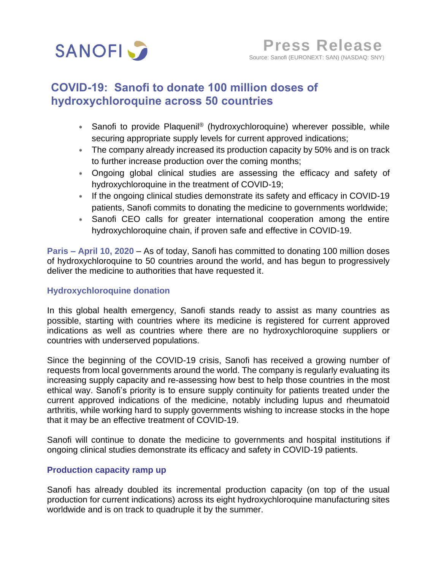

# **COVID-19: Sanofi to donate 100 million doses of hydroxychloroquine across 50 countries**

- Sanofi to provide Plaquenil® (hydroxychloroquine) wherever possible, while securing appropriate supply levels for current approved indications;
- The company already increased its production capacity by 50% and is on track to further increase production over the coming months;
- Ongoing global clinical studies are assessing the efficacy and safety of hydroxychloroquine in the treatment of COVID-19;
- \* If the ongoing clinical studies demonstrate its safety and efficacy in COVID-19 patients, Sanofi commits to donating the medicine to governments worldwide;
- Sanofi CEO calls for greater international cooperation among the entire hydroxychloroquine chain, if proven safe and effective in COVID-19.

**Paris – April 10, 2020** – As of today, Sanofi has committed to donating 100 million doses of hydroxychloroquine to 50 countries around the world, and has begun to progressively deliver the medicine to authorities that have requested it.

### **Hydroxychloroquine donation**

In this global health emergency, Sanofi stands ready to assist as many countries as possible, starting with countries where its medicine is registered for current approved indications as well as countries where there are no hydroxychloroquine suppliers or countries with underserved populations.

Since the beginning of the COVID-19 crisis, Sanofi has received a growing number of requests from local governments around the world. The company is regularly evaluating its increasing supply capacity and re-assessing how best to help those countries in the most ethical way. Sanofi's priority is to ensure supply continuity for patients treated under the current approved indications of the medicine, notably including lupus and rheumatoid arthritis, while working hard to supply governments wishing to increase stocks in the hope that it may be an effective treatment of COVID-19.

Sanofi will continue to donate the medicine to governments and hospital institutions if ongoing clinical studies demonstrate its efficacy and safety in COVID-19 patients.

#### **Production capacity ramp up**

Sanofi has already doubled its incremental production capacity (on top of the usual production for current indications) across its eight hydroxychloroquine manufacturing sites worldwide and is on track to quadruple it by the summer.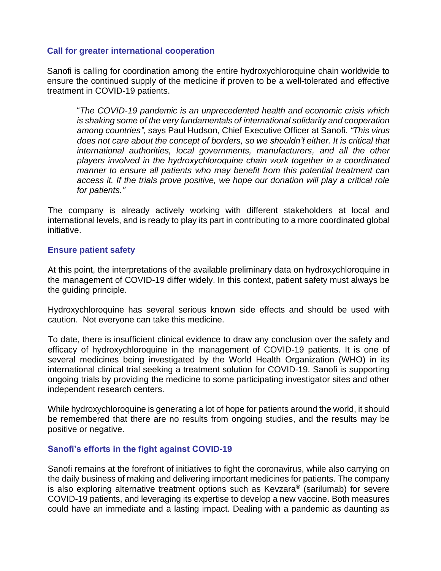#### **Call for greater international cooperation**

Sanofi is calling for coordination among the entire hydroxychloroquine chain worldwide to ensure the continued supply of the medicine if proven to be a well-tolerated and effective treatment in COVID-19 patients.

"*The COVID-19 pandemic is an unprecedented health and economic crisis which is shaking some of the very fundamentals of international solidarity and cooperation among countries",* says Paul Hudson, Chief Executive Officer at Sanofi*. "This virus does not care about the concept of borders, so we shouldn't either. It is critical that international authorities, local governments, manufacturers, and all the other players involved in the hydroxychloroquine chain work together in a coordinated manner to ensure all patients who may benefit from this potential treatment can access it. If the trials prove positive, we hope our donation will play a critical role for patients."*

The company is already actively working with different stakeholders at local and international levels, and is ready to play its part in contributing to a more coordinated global initiative.

#### **Ensure patient safety**

At this point, the interpretations of the available preliminary data on hydroxychloroquine in the management of COVID-19 differ widely. In this context, patient safety must always be the guiding principle.

Hydroxychloroquine has several serious known side effects and should be used with caution. Not everyone can take this medicine.

To date, there is insufficient clinical evidence to draw any conclusion over the safety and efficacy of hydroxychloroquine in the management of COVID-19 patients. It is one of several medicines being investigated by the World Health Organization (WHO) in its international clinical trial seeking a treatment solution for COVID-19. Sanofi is supporting ongoing trials by providing the medicine to some participating investigator sites and other independent research centers.

While hydroxychloroquine is generating a lot of hope for patients around the world, it should be remembered that there are no results from ongoing studies, and the results may be positive or negative.

## **Sanofi's efforts in the fight against COVID-19**

Sanofi remains at the forefront of initiatives to fight the coronavirus, while also carrying on the daily business of making and delivering important medicines for patients. The company is also exploring alternative treatment options such as Kevzara® (sarilumab) for severe COVID-19 patients, and leveraging its expertise to develop a new vaccine. Both measures could have an immediate and a lasting impact. Dealing with a pandemic as daunting as